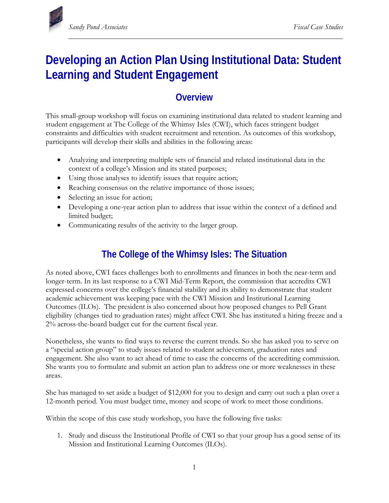# **Developing an Action Plan Using Institutional Data: Student Learning and Student Engagement**

## **Overview**

This small-group workshop will focus on examining institutional data related to student learning and student engagement at The College of the Whimsy Isles (CWI), which faces stringent budget constraints and difficulties with student recruitment and retention. As outcomes of this workshop, participants will develop their skills and abilities in the following areas:

- Analyzing and interpreting multiple sets of financial and related institutional data in the context of a college's Mission and its stated purposes;
- Using those analyses to identify issues that require action;
- Reaching consensus on the relative importance of those issues;
- Selecting an issue for action;
- Developing a one-year action plan to address that issue within the context of a defined and limited budget;
- Communicating results of the activity to the larger group.

## **The College of the Whimsy Isles: The Situation**

As noted above, CWI faces challenges both to enrollments and finances in both the near-term and longer-term. In its last response to a CWI Mid-Term Report, the commission that accredits CWI expressed concerns over the college's financial stability and its ability to demonstrate that student academic achievement was keeping pace with the CWI Mission and Institutional Learning Outcomes (ILOs). The president is also concerned about how proposed changes to Pell Grant eligibility (changes tied to graduation rates) might affect CWI. She has instituted a hiring freeze and a 2% across-the-board budget cut for the current fiscal year.

Nonetheless, she wants to find ways to reverse the current trends. So she has asked you to serve on a "special action group" to study issues related to student achievement, graduation rates and engagement. She also want to act ahead of time to ease the concerns of the accrediting commission. She wants you to formulate and submit an action plan to address one or more weaknesses in these areas.

She has managed to set aside a budget of \$12,000 for you to design and carry out such a plan over a 12-month period. You must budget time, money and scope of work to meet those conditions.

Within the scope of this case study workshop, you have the following five tasks:

1. Study and discuss the Institutional Profile of CWI so that your group has a good sense of its Mission and Institutional Learning Outcomes (ILOs).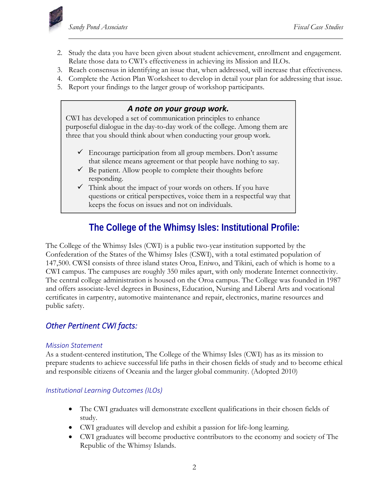

- 2. Study the data you have been given about student achievement, enrollment and engagement. Relate those data to CWI's effectiveness in achieving its Mission and ILOs.
- 3. Reach consensus in identifying an issue that, when addressed, will increase that effectiveness.
- 4. Complete the Action Plan Worksheet to develop in detail your plan for addressing that issue.
- 5. Report your findings to the larger group of workshop participants.

#### *A note on your group work.*

CWI has developed a set of communication principles to enhance purposeful dialogue in the day-to-day work of the college. Among them are three that you should think about when conducting your group work.

- $\checkmark$  Encourage participation from all group members. Don't assume that silence means agreement or that people have nothing to say.
- $\checkmark$  Be patient. Allow people to complete their thoughts before responding.
- $\checkmark$  Think about the impact of your words on others. If you have questions or critical perspectives, voice them in a respectful way that keeps the focus on issues and not on individuals.

## **The College of the Whimsy Isles: Institutional Profile:**

The College of the Whimsy Isles (CWI) is a public two-year institution supported by the Confederation of the States of the Whimsy Isles (CSWI), with a total estimated population of 147,500. CWSI consists of three island states Oroa, Eniwo, and Tikini, each of which is home to a CWI campus. The campuses are roughly 350 miles apart, with only moderate Internet connectivity. The central college administration is housed on the Oroa campus. The College was founded in 1987 and offers associate-level degrees in Business, Education, Nursing and Liberal Arts and vocational certificates in carpentry, automotive maintenance and repair, electronics, marine resources and public safety.

### *Other Pertinent CWI facts:*

#### *Mission Statement*

As a student-centered institution, The College of the Whimsy Isles (CWI) has as its mission to prepare students to achieve successful life paths in their chosen fields of study and to become ethical and responsible citizens of Oceania and the larger global community. (Adopted 2010)

#### *Institutional Learning Outcomes (ILOs)*

- The CWI graduates will demonstrate excellent qualifications in their chosen fields of study.
- CWI graduates will develop and exhibit a passion for life-long learning.
- CWI graduates will become productive contributors to the economy and society of The Republic of the Whimsy Islands.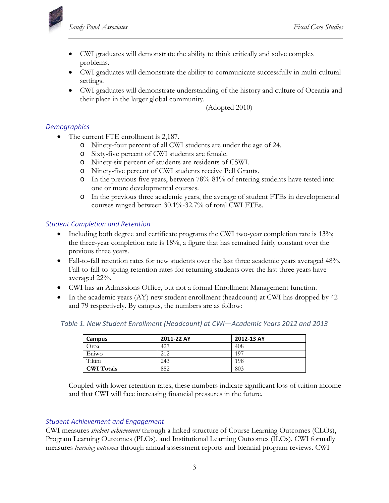

- CWI graduates will demonstrate the ability to think critically and solve complex problems.
- CWI graduates will demonstrate the ability to communicate successfully in multi-cultural settings.
- CWI graduates will demonstrate understanding of the history and culture of Oceania and their place in the larger global community.

(Adopted 2010)

#### *Demographics*

- The current FTE enrollment is 2,187.
	- o Ninety-four percent of all CWI students are under the age of 24.
	- o Sixty-five percent of CWI students are female.
	- o Ninety-six percent of students are residents of CSWI.
	- o Ninety-five percent of CWI students receive Pell Grants.
	- o In the previous five years, between 78%-81% of entering students have tested into one or more developmental courses.
	- o In the previous three academic years, the average of student FTEs in developmental courses ranged between 30.1%-32.7% of total CWI FTEs.

#### *Student Completion and Retention*

- Including both degree and certificate programs the CWI two-year completion rate is 13%; the three-year completion rate is 18%, a figure that has remained fairly constant over the previous three years.
- Fall-to-fall retention rates for new students over the last three academic years averaged 48%. Fall-to-fall-to-spring retention rates for returning students over the last three years have averaged 22%.
- CWI has an Admissions Office, but not a formal Enrollment Management function.
- In the academic years (AY) new student enrollment (headcount) at CWI has dropped by 42 and 79 respectively. By campus, the numbers are as follow:

| Campus            | 2011-22 AY | 2012-13 AY |
|-------------------|------------|------------|
| Oroa              | 427        | 408        |
| Eniwo             | 212        | 197        |
| Tikini            | 243        | 198        |
| <b>CWI</b> Totals | 882        | 803        |

*Table 1. New Student Enrollment (Headcount) at CWI—Academic Years 2012 and 2013*

Coupled with lower retention rates, these numbers indicate significant loss of tuition income and that CWI will face increasing financial pressures in the future.

#### *Student Achievement and Engagement*

CWI measures *student achievement* through a linked structure of Course Learning Outcomes (CLOs), Program Learning Outcomes (PLOs), and Institutional Learning Outcomes (ILOs). CWI formally measures *learning outcomes* through annual assessment reports and biennial program reviews. CWI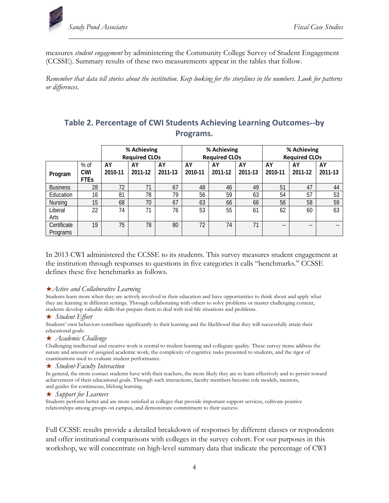

measures *student engagement* by administering the Community College Survey of Student Engagement (CCSSE). Summary results of these two measurements appear in the tables that follow.

*Remember that data tell stories about the institution. Keep looking for the storylines in the numbers. Look for patterns or differences.* 

### **Table 2. Percentage of CWI Students Achieving Learning Outcomes‐‐by Programs.**

|                         |                                     | % Achieving<br><b>Required CLOs</b> |               |               | % Achieving<br><b>Required CLOs</b> |               |               | % Achieving<br><b>Required CLOs</b> |               |               |  |
|-------------------------|-------------------------------------|-------------------------------------|---------------|---------------|-------------------------------------|---------------|---------------|-------------------------------------|---------------|---------------|--|
| Program                 | $%$ of<br><b>CWI</b><br><b>FTEs</b> | AY<br>2010-11                       | AY<br>2011-12 | AY<br>2011-13 | AY<br>2010-11                       | AY<br>2011-12 | AY<br>2011-13 | AY<br>2010-11                       | AY<br>2011-12 | AY<br>2011-13 |  |
| <b>Business</b>         | 28                                  | 72                                  | 71            | 67            | 48                                  | 46            | 49            | 51                                  | 47            | 44            |  |
| Education               | 16                                  | 81                                  | 78            | 79            | 56                                  | 59            | 63            | 54                                  | 57            | 53            |  |
| <b>Nursing</b>          | 15                                  | 68                                  | 70            | 67            | 63                                  | 66            | 66            | 56                                  | 58            | 59            |  |
| Liberal<br>Arts         | 22                                  | 74                                  | 71            | 76            | 53                                  | 55            | 61            | 62                                  | 60            | 63            |  |
| Certificate<br>Programs | 19                                  | 75                                  | 78            | 80            | 72                                  | 74            | 71            | $- -$                               | $- -$         | $- -$         |  |

In 2013 CWI administered the CCSSE to its students. This survey measures student engagement at the institution through responses to questions in five categories it calls "benchmarks." CCSSE defines these five benchmarks as follows.

#### ★*Active and Collaborative Learning*

Students learn more when they are actively involved in their education and have opportunities to think about and apply what they are learning in different settings. Through collaborating with others to solve problems or master challenging content, students develop valuable skills that prepare them to deal with real-life situations and problems.

#### ★ *Student Effort*

Students' own behaviors contribute significantly to their learning and the likelihood that they will successfully attain their educational goals.

#### ★ *Academic Challenge*

Challenging intellectual and creative work is central to student learning and collegiate quality. These survey items address the nature and amount of assigned academic work, the complexity of cognitive tasks presented to students, and the rigor of examinations used to evaluate student performance.

#### ★ *Student-Faculty Interaction*

In general, the more contact students have with their teachers, the more likely they are to learn effectively and to persist toward achievement of their educational goals. Through such interactions, faculty members become role models, mentors, and guides for continuous, lifelong learning.

#### ★ *Support for Learners*

Students perform better and are more satisfied at colleges that provide important support services, cultivate positive relationships among groups on campus, and demonstrate commitment to their success.

Full CCSSE results provide a detailed breakdown of responses by different classes or respondents and offer institutional comparisons with colleges in the survey cohort. For our purposes in this workshop, we will concentrate on high-level summary data that indicate the percentage of CWI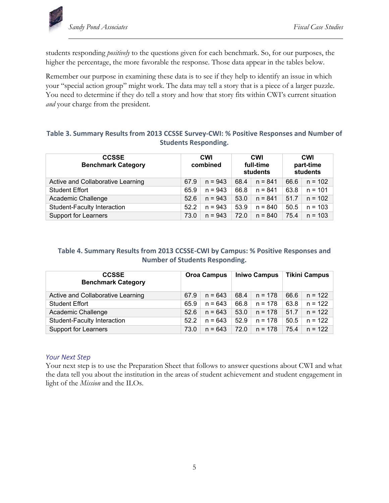

students responding *positively* to the questions given for each benchmark. So, for our purposes, the higher the percentage, the more favorable the response. Those data appear in the tables below.

Remember our purpose in examining these data is to see if they help to identify an issue in which your "special action group" might work. The data may tell a story that is a piece of a larger puzzle. You need to determine if they do tell a story and how that story fits within CWI's current situation *and* your charge from the president.

#### **Table 3. Summary Results from 2013 CCSSE Survey‐CWI: % Positive Responses and Number of Students Responding.**

| <b>CCSSE</b><br><b>Benchmark Category</b> | <b>CWI</b><br>combined |           |      | <b>CWI</b><br>full-time<br>students | <b>CWI</b><br>part-time<br>students |           |  |
|-------------------------------------------|------------------------|-----------|------|-------------------------------------|-------------------------------------|-----------|--|
| Active and Collaborative Learning         | 67.9                   | $n = 943$ | 68.4 | $n = 841$                           | 66.6                                | $n = 102$ |  |
| <b>Student Effort</b>                     | 65.9                   | $n = 943$ | 66.8 | $n = 841$                           | 63.8                                | $n = 101$ |  |
| Academic Challenge                        | 52.6                   | $n = 943$ | 53.0 | $n = 841$                           | 51.7                                | $n = 102$ |  |
| Student-Faculty Interaction               | 52.2                   | $n = 943$ | 53.9 | $n = 840$                           | 50.5                                | $n = 103$ |  |
| <b>Support for Learners</b>               | 73.0                   | $n = 943$ | 72.0 | $n = 840$                           | 75.4                                | $n = 103$ |  |

#### **Table 4. Summary Results from 2013 CCSSE‐CWI by Campus: % Positive Responses and Number of Students Responding.**

| <b>CCSSE</b><br><b>Benchmark Category</b> |                   | <b>Oroa Campus</b> |      | <b>Iniwo Campus</b> | <b>Tikini Campus</b> |           |  |
|-------------------------------------------|-------------------|--------------------|------|---------------------|----------------------|-----------|--|
| Active and Collaborative Learning         | 67.9<br>$n = 643$ |                    | 68.4 | $n = 178$           | 66.6                 | n = 122   |  |
| <b>Student Effort</b>                     | 65.9              | $n = 643$          | 66.8 | $n = 178$           | 63.8                 | n = 122   |  |
| Academic Challenge                        | 52.6              | $n = 643$          | 53.0 | $n = 178$           | 51.7                 | $n = 122$ |  |
| Student-Faculty Interaction               | 52.2              | $n = 643$          | 52.9 | $n = 178$           | 50.5                 | $n = 122$ |  |
| <b>Support for Learners</b>               | 73.0              | $n = 643$          | 72.0 | $n = 178$           | 75.4                 | $n = 122$ |  |

#### *Your Next Step*

Your next step is to use the Preparation Sheet that follows to answer questions about CWI and what the data tell you about the institution in the areas of student achievement and student engagement in light of the *Mission* and the ILOs.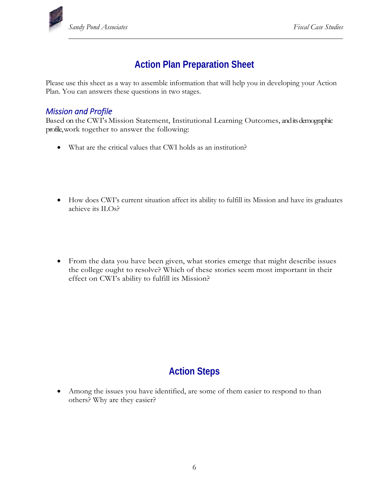

## **Action Plan Preparation Sheet**

Please use this sheet as a way to assemble information that will help you in developing your Action Plan. You can answers these questions in two stages.

### *Mission and Profile*

Based on the CWI's Mission Statement, Institutional Learning Outcomes, and its demographic profile, work together to answer the following:

- What are the critical values that CWI holds as an institution?
- How does CWI's current situation affect its ability to fulfill its Mission and have its graduates achieve its ILOs?
- From the data you have been given, what stories emerge that might describe issues the college ought to resolve? Which of these stories seem most important in their effect on CWI's ability to fulfill its Mission?

## **Action Steps**

 Among the issues you have identified, are some of them easier to respond to than others? Why are they easier?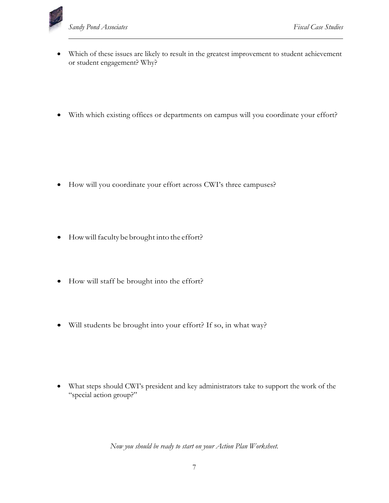

- Which of these issues are likely to result in the greatest improvement to student achievement or student engagement? Why?
- With which existing offices or departments on campus will you coordinate your effort?

- How will you coordinate your effort across CWI's three campuses?
- How will faculty be brought into the effort?
- How will staff be brought into the effort?
- Will students be brought into your effort? If so, in what way?

 What steps should CWI's president and key administrators take to support the work of the "special action group?"

*Now you should be ready to start on your Action Plan Worksheet.*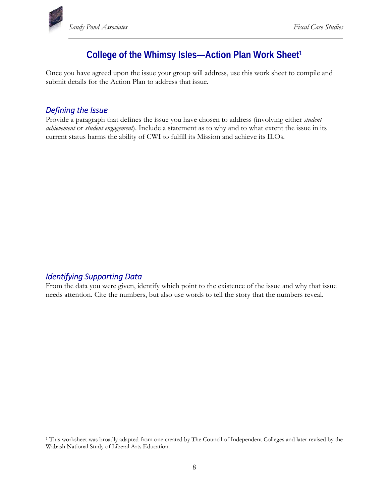

## **College of the Whimsy Isles—Action Plan Work Sheet1**

Once you have agreed upon the issue your group will address, use this work sheet to compile and submit details for the Action Plan to address that issue.

#### *Defining the Issue*

Provide a paragraph that defines the issue you have chosen to address (involving either *student achievement* or *student engagement*). Include a statement as to why and to what extent the issue in its current status harms the ability of CWI to fulfill its Mission and achieve its ILOs.

### *Identifying Supporting Data*

 $\overline{a}$ 

From the data you were given, identify which point to the existence of the issue and why that issue needs attention. Cite the numbers, but also use words to tell the story that the numbers reveal.

<sup>1</sup> This worksheet was broadly adapted from one created by The Council of Independent Colleges and later revised by the Wabash National Study of Liberal Arts Education.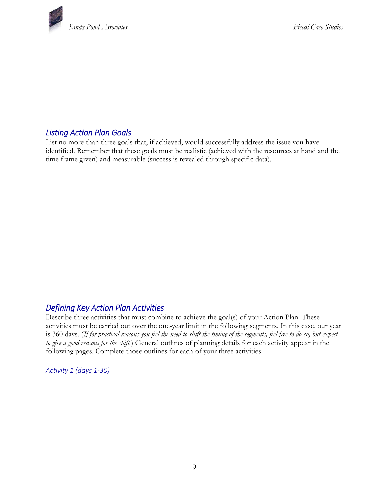

#### *Listing Action Plan Goals*

List no more than three goals that, if achieved, would successfully address the issue you have identified. Remember that these goals must be realistic (achieved with the resources at hand and the time frame given) and measurable (success is revealed through specific data).

#### *Defining Key Action Plan Activities*

Describe three activities that must combine to achieve the goal(s) of your Action Plan. These activities must be carried out over the one-year limit in the following segments. In this case, our year is 360 days. (*If for practical reasons you feel the need to shift the timing of the segments, feel free to do so, but expect to give a good reasons for the shift.*) General outlines of planning details for each activity appear in the following pages. Complete those outlines for each of your three activities.

*Activity 1 (days 1‐30)*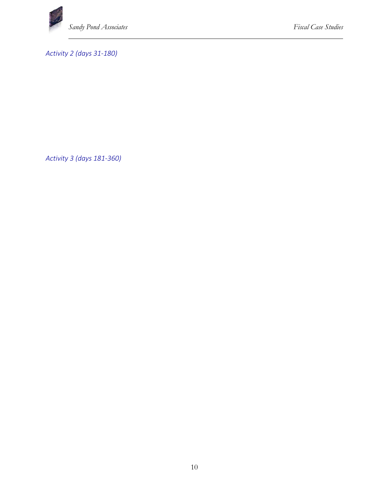

*Activity 2 (days 31‐180)* 

*Activity 3 (days 181‐360)*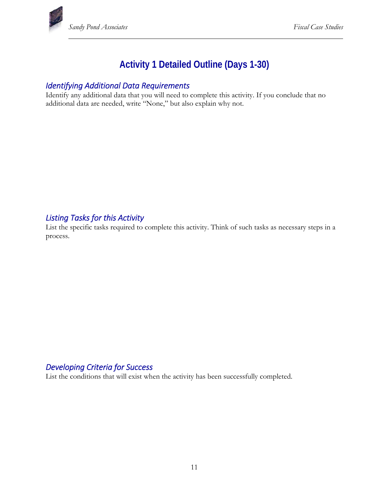

## **Activity 1 Detailed Outline (Days 1-30)**

#### *Identifying Additional Data Requirements*

Identify any additional data that you will need to complete this activity. If you conclude that no additional data are needed, write "None," but also explain why not.

### *Listing Tasks for this Activity*

List the specific tasks required to complete this activity. Think of such tasks as necessary steps in a process.

### *Developing Criteria for Success*

List the conditions that will exist when the activity has been successfully completed.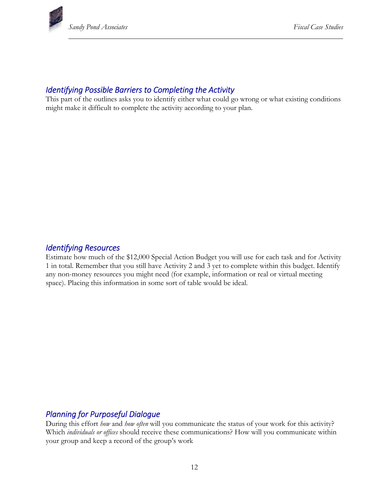

#### *Identifying Possible Barriers to Completing the Activity*

This part of the outlines asks you to identify either what could go wrong or what existing conditions might make it difficult to complete the activity according to your plan.

#### *Identifying Resources*

Estimate how much of the \$12,000 Special Action Budget you will use for each task and for Activity 1 in total. Remember that you still have Activity 2 and 3 yet to complete within this budget. Identify any non-money resources you might need (for example, information or real or virtual meeting space). Placing this information in some sort of table would be ideal.

## *Planning for Purposeful Dialogue*

During this effort *how* and *how often* will you communicate the status of your work for this activity? Which *individuals or offices* should receive these communications? How will you communicate within your group and keep a record of the group's work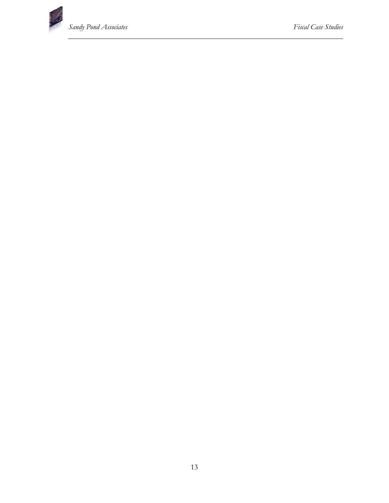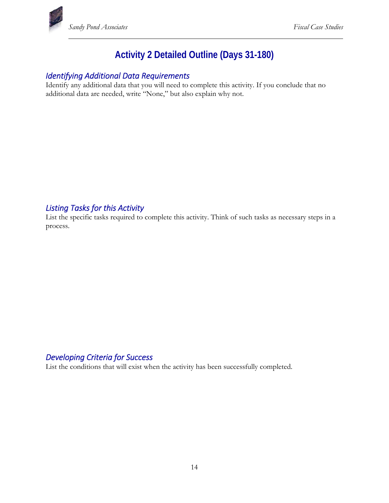

## **Activity 2 Detailed Outline (Days 31-180)**

#### *Identifying Additional Data Requirements*

Identify any additional data that you will need to complete this activity. If you conclude that no additional data are needed, write "None," but also explain why not.

### *Listing Tasks for this Activity*

List the specific tasks required to complete this activity. Think of such tasks as necessary steps in a process.

## *Developing Criteria for Success*

List the conditions that will exist when the activity has been successfully completed.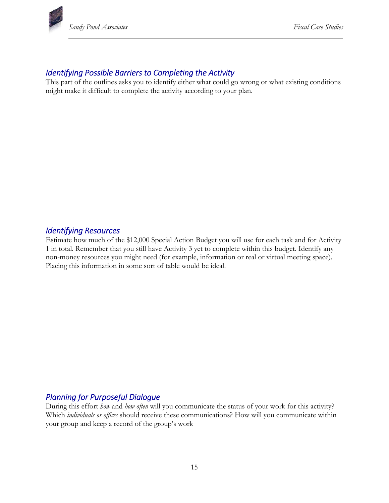

#### *Identifying Possible Barriers to Completing the Activity*

This part of the outlines asks you to identify either what could go wrong or what existing conditions might make it difficult to complete the activity according to your plan.

#### *Identifying Resources*

Estimate how much of the \$12,000 Special Action Budget you will use for each task and for Activity 1 in total. Remember that you still have Activity 3 yet to complete within this budget. Identify any non-money resources you might need (for example, information or real or virtual meeting space). Placing this information in some sort of table would be ideal.

#### *Planning for Purposeful Dialogue*

During this effort *how* and *how often* will you communicate the status of your work for this activity? Which *individuals or offices* should receive these communications? How will you communicate within your group and keep a record of the group's work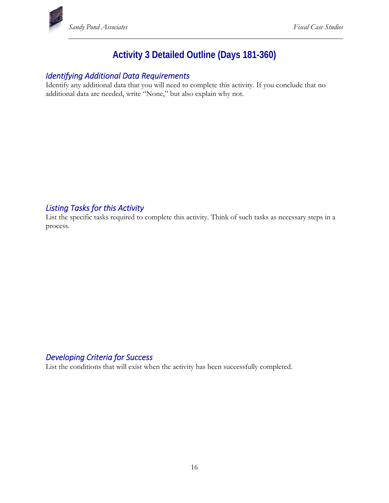

## **Activity 3 Detailed Outline (Days 181-360)**

### *Identifying Additional Data Requirements*

Identify any additional data that you will need to complete this activity. If you conclude that no additional data are needed, write "None," but also explain why not.

### *Listing Tasks for this Activity*

List the specific tasks required to complete this activity. Think of such tasks as necessary steps in a process.

## *Developing Criteria for Success*

List the conditions that will exist when the activity has been successfully completed.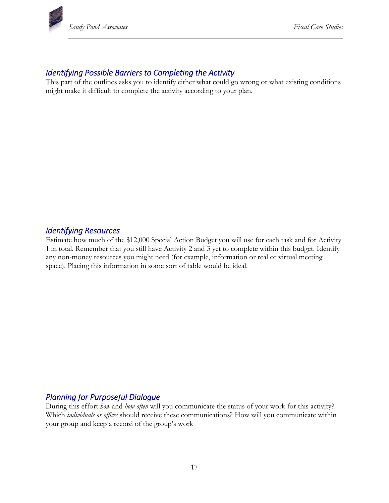

#### *Identifying Possible Barriers to Completing the Activity*

This part of the outlines asks you to identify either what could go wrong or what existing conditions might make it difficult to complete the activity according to your plan.

#### *Identifying Resources*

Estimate how much of the \$12,000 Special Action Budget you will use for each task and for Activity 1 in total. Remember that you still have Activity 2 and 3 yet to complete within this budget. Identify any non-money resources you might need (for example, information or real or virtual meeting space). Placing this information in some sort of table would be ideal.

#### *Planning for Purposeful Dialogue*

During this effort *how* and *how often* will you communicate the status of your work for this activity? Which *individuals or offices* should receive these communications? How will you communicate within your group and keep a record of the group's work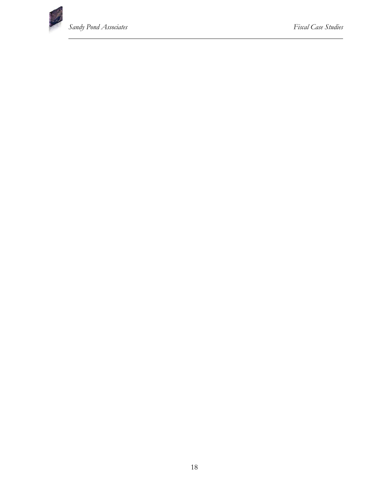